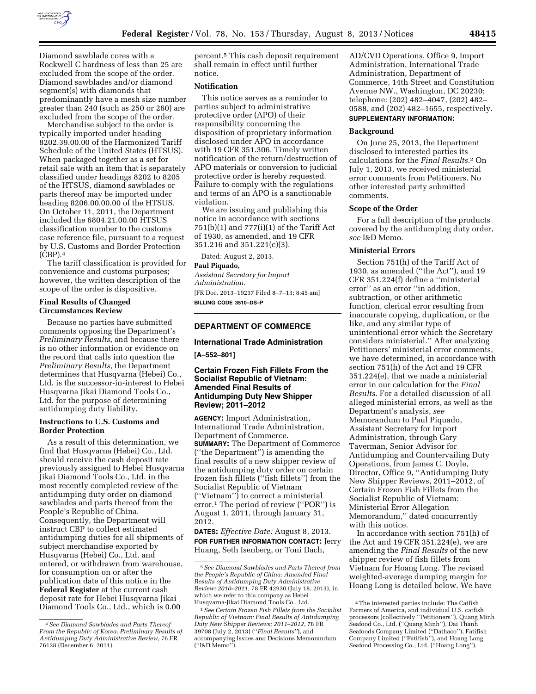

Diamond sawblade cores with a Rockwell C hardness of less than 25 are excluded from the scope of the order. Diamond sawblades and/or diamond segment(s) with diamonds that predominantly have a mesh size number greater than 240 (such as 250 or 260) are excluded from the scope of the order.

Merchandise subject to the order is typically imported under heading 8202.39.00.00 of the Harmonized Tariff Schedule of the United States (HTSUS). When packaged together as a set for retail sale with an item that is separately classified under headings 8202 to 8205 of the HTSUS, diamond sawblades or parts thereof may be imported under heading 8206.00.00.00 of the HTSUS. On October 11, 2011, the Department included the 6804.21.00.00 HTSUS classification number to the customs case reference file, pursuant to a request by U.S. Customs and Border Protection (CBP).4

The tariff classification is provided for convenience and customs purposes; however, the written description of the scope of the order is dispositive.

#### **Final Results of Changed Circumstances Review**

Because no parties have submitted comments opposing the Department's *Preliminary Results,* and because there is no other information or evidence on the record that calls into question the *Preliminary Results,* the Department determines that Husqvarna (Hebei) Co., Ltd. is the successor-in-interest to Hebei Husqvarna Jikai Diamond Tools Co., Ltd. for the purpose of determining antidumping duty liability.

#### **Instructions to U.S. Customs and Border Protection**

As a result of this determination, we find that Husqvarna (Hebei) Co., Ltd. should receive the cash deposit rate previously assigned to Hebei Husqvarna Jikai Diamond Tools Co., Ltd. in the most recently completed review of the antidumping duty order on diamond sawblades and parts thereof from the People's Republic of China. Consequently, the Department will instruct CBP to collect estimated antidumping duties for all shipments of subject merchandise exported by Husqvarna (Hebei) Co., Ltd. and entered, or withdrawn from warehouse, for consumption on or after the publication date of this notice in the **Federal Register** at the current cash deposit rate for Hebei Husqvarna Jikai Diamond Tools Co., Ltd., which is 0.00

percent.5 This cash deposit requirement shall remain in effect until further notice.

### **Notification**

This notice serves as a reminder to parties subject to administrative protective order (APO) of their responsibility concerning the disposition of proprietary information disclosed under APO in accordance with 19 CFR 351.306. Timely written notification of the return/destruction of APO materials or conversion to judicial protective order is hereby requested. Failure to comply with the regulations and terms of an APO is a sanctionable violation.

We are issuing and publishing this notice in accordance with sections  $751(b)(1)$  and  $777(i)(1)$  of the Tariff Act of 1930, as amended, and 19 CFR 351.216 and 351.221(c)(3).

Dated: August 2, 2013.

## **Paul Piquado,**

*Assistant Secretary for Import Administration.*  [FR Doc. 2013–19237 Filed 8–7–13; 8:45 am] **BILLING CODE 3510–DS–P** 

### **DEPARTMENT OF COMMERCE**

#### **International Trade Administration**

#### **[A–552–801]**

### **Certain Frozen Fish Fillets From the Socialist Republic of Vietnam: Amended Final Results of Antidumping Duty New Shipper Review; 2011–2012**

**AGENCY:** Import Administration, International Trade Administration, Department of Commerce. **SUMMARY:** The Department of Commerce (''the Department'') is amending the final results of a new shipper review of the antidumping duty order on certain frozen fish fillets (''fish fillets'') from the Socialist Republic of Vietnam (''Vietnam'') to correct a ministerial error.1 The period of review (''POR'') is August 1, 2011, through January 31, 2012.

**DATES:** *Effective Date:* August 8, 2013. **FOR FURTHER INFORMATION CONTACT:** Jerry Huang, Seth Isenberg, or Toni Dach,

AD/CVD Operations, Office 9, Import Administration, International Trade Administration, Department of Commerce, 14th Street and Constitution Avenue NW., Washington, DC 20230; telephone: (202) 482–4047, (202) 482– 0588, and (202) 482–1655, respectively. **SUPPLEMENTARY INFORMATION:** 

#### **Background**

On June 25, 2013, the Department disclosed to interested parties its calculations for the *Final Results.*2 On July 1, 2013, we received ministerial error comments from Petitioners. No other interested party submitted comments.

#### **Scope of the Order**

For a full description of the products covered by the antidumping duty order, *see* I&D Memo.

#### **Ministerial Errors**

Section 751(h) of the Tariff Act of 1930, as amended (''the Act''), and 19 CFR 351.224(f) define a ''ministerial error'' as an error ''in addition, subtraction, or other arithmetic function, clerical error resulting from inaccurate copying, duplication, or the like, and any similar type of unintentional error which the Secretary considers ministerial.'' After analyzing Petitioners' ministerial error comments, we have determined, in accordance with section 751(h) of the Act and 19 CFR 351.224(e), that we made a ministerial error in our calculation for the *Final Results.* For a detailed discussion of all alleged ministerial errors, as well as the Department's analysis, *see*  Memorandum to Paul Piquado, Assistant Secretary for Import Administration, through Gary Taverman, Senior Advisor for Antidumping and Countervailing Duty Operations, from James C. Doyle, Director, Office 9, ''Antidumping Duty New Shipper Reviews, 2011–2012, of Certain Frozen Fish Fillets from the Socialist Republic of Vietnam: Ministerial Error Allegation Memorandum,'' dated concurrently with this notice.

In accordance with section 751(h) of the Act and 19 CFR 351.224(e), we are amending the *Final Results* of the new shipper review of fish fillets from Vietnam for Hoang Long. The revised weighted-average dumping margin for Hoang Long is detailed below. We have

<sup>4</sup>*See Diamond Sawblades and Parts Thereof From the Republic of Korea: Preliminary Results of Antidumping Duty Administrative Review,* 76 FR 76128 (December 6, 2011).

<sup>5</sup>*See Diamond Sawblades and Parts Thereof from the People's Republic of China: Amended Final Results of Antidumping Duty Administrative Review; 2010–2011,* 78 FR 42930 (July 18, 2013), in which we refer to this company as Hebei Husqvarna-Jikai Diamond Tools Co., Ltd.

<sup>1</sup>*See Certain Frozen Fish Fillets from the Socialist Republic of Vietnam: Final Results of Antidumping Duty New Shipper Reviews; 2011–2012,* 78 FR 39708 (July 2, 2013) (''*Final Results''*), and accompanying Issues and Decisions Memorandum (''I&D Memo'').

<sup>2</sup>The interested parties include: The Catfish Farmers of America, and individual U.S. catfish processors (collectively ''Petitioners''), Quang Minh Seafood Co., Ltd. (''Quang Minh''), Dai Thanh Seafoods Company Limited (''Dathaco''), Fatifish Company Limited (''Fatifish''), and Hoang Long Seafood Processing Co., Ltd. (''Hoang Long'').